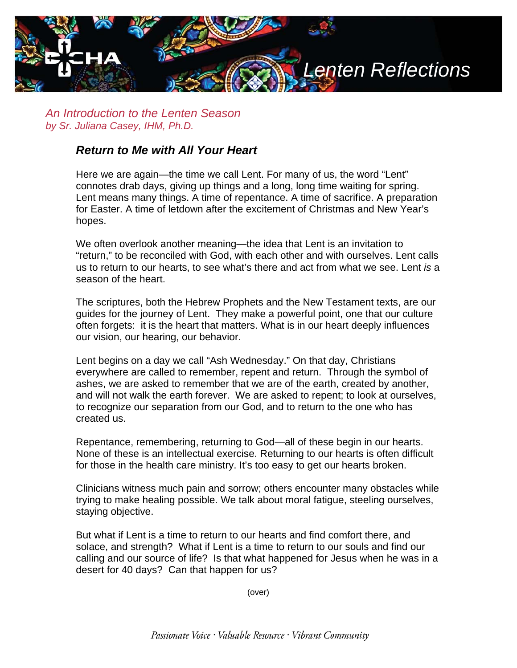

*An Introduction to the Lenten Season by Sr. Juliana Casey, IHM, Ph.D.*

## *Return to Me with All Your Heart*

Here we are again—the time we call Lent. For many of us, the word "Lent" connotes drab days, giving up things and a long, long time waiting for spring. Lent means many things. A time of repentance. A time of sacrifice. A preparation for Easter. A time of letdown after the excitement of Christmas and New Year's hopes.

We often overlook another meaning—the idea that Lent is an invitation to "return," to be reconciled with God, with each other and with ourselves. Lent calls us to return to our hearts, to see what's there and act from what we see. Lent *is* a season of the heart.

The scriptures, both the Hebrew Prophets and the New Testament texts, are our guides for the journey of Lent. They make a powerful point, one that our culture often forgets: it is the heart that matters. What is in our heart deeply influences our vision, our hearing, our behavior.

Lent begins on a day we call "Ash Wednesday." On that day, Christians everywhere are called to remember, repent and return. Through the symbol of ashes, we are asked to remember that we are of the earth, created by another, and will not walk the earth forever. We are asked to repent; to look at ourselves, to recognize our separation from our God, and to return to the one who has created us.

Repentance, remembering, returning to God—all of these begin in our hearts. None of these is an intellectual exercise. Returning to our hearts is often difficult for those in the health care ministry. It's too easy to get our hearts broken.

Clinicians witness much pain and sorrow; others encounter many obstacles while trying to make healing possible. We talk about moral fatigue, steeling ourselves, staying objective.

But what if Lent is a time to return to our hearts and find comfort there, and solace, and strength? What if Lent is a time to return to our souls and find our calling and our source of life? Is that what happened for Jesus when he was in a desert for 40 days? Can that happen for us?

(over)